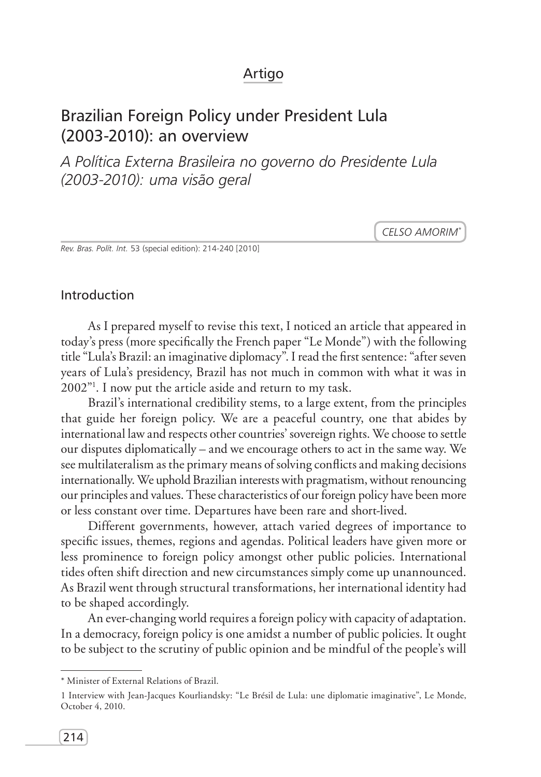# Artigo

# Brazilian Foreign Policy under President Lula (2003-2010): an overview

*A Política Externa Brasileira no governo do Presidente Lula (2003-2010): uma visão geral* 

*Celso Amorim\**

*Rev. Bras. Polít. Int.* 53 (special edition): 214-240 [2010]

### Introduction

As I prepared myself to revise this text, I noticed an article that appeared in today's press (more specifically the French paper "Le Monde") with the following title "Lula's Brazil: an imaginative diplomacy". I read the first sentence: "after seven years of Lula's presidency, Brazil has not much in common with what it was in 2002"1 . I now put the article aside and return to my task.

Brazil's international credibility stems, to a large extent, from the principles that guide her foreign policy. We are a peaceful country, one that abides by international law and respects other countries' sovereign rights. We choose to settle our disputes diplomatically – and we encourage others to act in the same way. We see multilateralism as the primary means of solving conflicts and making decisions internationally. We uphold Brazilian interests with pragmatism, without renouncing our principles and values. These characteristics of our foreign policy have been more or less constant over time. Departures have been rare and short-lived.

Different governments, however, attach varied degrees of importance to specific issues, themes, regions and agendas. Political leaders have given more or less prominence to foreign policy amongst other public policies. International tides often shift direction and new circumstances simply come up unannounced. As Brazil went through structural transformations, her international identity had to be shaped accordingly.

An ever-changing world requires a foreign policy with capacity of adaptation. In a democracy, foreign policy is one amidst a number of public policies. It ought to be subject to the scrutiny of public opinion and be mindful of the people's will

<sup>\*</sup> Minister of External Relations of Brazil.

<sup>1</sup> Interview with Jean-Jacques Kourliandsky: "Le Brésil de Lula: une diplomatie imaginative", Le Monde, October 4, 2010.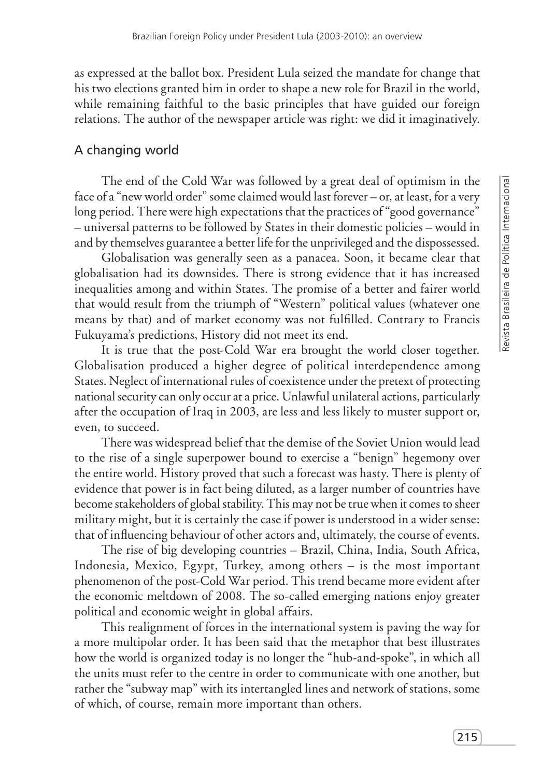as expressed at the ballot box. President Lula seized the mandate for change that his two elections granted him in order to shape a new role for Brazil in the world, while remaining faithful to the basic principles that have guided our foreign relations. The author of the newspaper article was right: we did it imaginatively.

### A changing world

The end of the Cold War was followed by a great deal of optimism in the face of a "new world order" some claimed would last forever – or, at least, for a very long period. There were high expectations that the practices of "good governance" – universal patterns to be followed by States in their domestic policies – would in and by themselves guarantee a better life for the unprivileged and the dispossessed.

Globalisation was generally seen as a panacea. Soon, it became clear that globalisation had its downsides. There is strong evidence that it has increased inequalities among and within States. The promise of a better and fairer world that would result from the triumph of "Western" political values (whatever one means by that) and of market economy was not fulfilled. Contrary to Francis Fukuyama's predictions, History did not meet its end.

It is true that the post-Cold War era brought the world closer together. Globalisation produced a higher degree of political interdependence among States. Neglect of international rules of coexistence under the pretext of protecting national security can only occur at a price. Unlawful unilateral actions, particularly after the occupation of Iraq in 2003, are less and less likely to muster support or, even, to succeed.

There was widespread belief that the demise of the Soviet Union would lead to the rise of a single superpower bound to exercise a "benign" hegemony over the entire world. History proved that such a forecast was hasty. There is plenty of evidence that power is in fact being diluted, as a larger number of countries have become stakeholders of global stability. This may not be true when it comes to sheer military might, but it is certainly the case if power is understood in a wider sense: that of influencing behaviour of other actors and, ultimately, the course of events.

The rise of big developing countries – Brazil, China, India, South Africa, Indonesia, Mexico, Egypt, Turkey, among others – is the most important phenomenon of the post-Cold War period. This trend became more evident after the economic meltdown of 2008. The so-called emerging nations enjoy greater political and economic weight in global affairs.

This realignment of forces in the international system is paving the way for a more multipolar order. It has been said that the metaphor that best illustrates how the world is organized today is no longer the "hub-and-spoke", in which all the units must refer to the centre in order to communicate with one another, but rather the "subway map" with its intertangled lines and network of stations, some of which, of course, remain more important than others.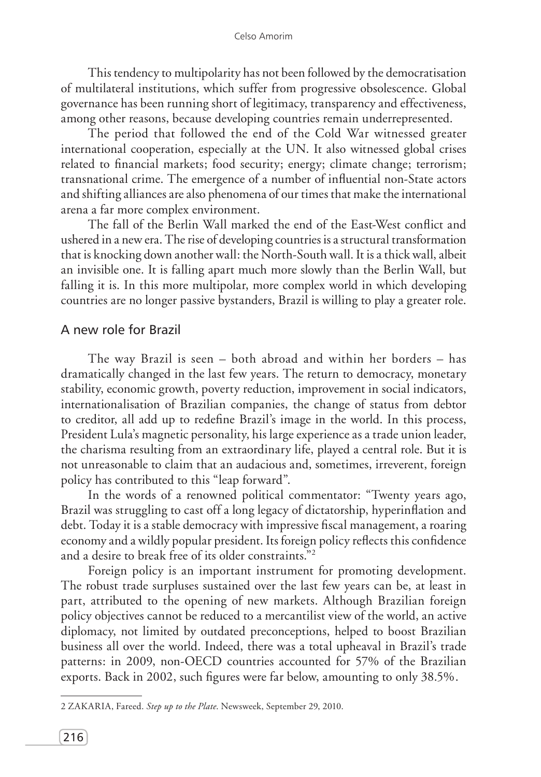This tendency to multipolarity has not been followed by the democratisation of multilateral institutions, which suffer from progressive obsolescence. Global governance has been running short of legitimacy, transparency and effectiveness, among other reasons, because developing countries remain underrepresented.

The period that followed the end of the Cold War witnessed greater international cooperation, especially at the UN. It also witnessed global crises related to financial markets; food security; energy; climate change; terrorism; transnational crime. The emergence of a number of influential non-State actors and shifting alliances are also phenomena of our times that make the international arena a far more complex environment.

The fall of the Berlin Wall marked the end of the East-West conflict and ushered in a new era. The rise of developing countries is a structural transformation that is knocking down another wall: the North-South wall. It is a thick wall, albeit an invisible one. It is falling apart much more slowly than the Berlin Wall, but falling it is. In this more multipolar, more complex world in which developing countries are no longer passive bystanders, Brazil is willing to play a greater role.

### A new role for Brazil

The way Brazil is seen – both abroad and within her borders – has dramatically changed in the last few years. The return to democracy, monetary stability, economic growth, poverty reduction, improvement in social indicators, internationalisation of Brazilian companies, the change of status from debtor to creditor, all add up to redefine Brazil's image in the world. In this process, President Lula's magnetic personality, his large experience as a trade union leader, the charisma resulting from an extraordinary life, played a central role. But it is not unreasonable to claim that an audacious and, sometimes, irreverent, foreign policy has contributed to this "leap forward".

In the words of a renowned political commentator: "Twenty years ago, Brazil was struggling to cast off a long legacy of dictatorship, hyperinflation and debt. Today it is a stable democracy with impressive fiscal management, a roaring economy and a wildly popular president. Its foreign policy reflects this confidence and a desire to break free of its older constraints."2

Foreign policy is an important instrument for promoting development. The robust trade surpluses sustained over the last few years can be, at least in part, attributed to the opening of new markets. Although Brazilian foreign policy objectives cannot be reduced to a mercantilist view of the world, an active diplomacy, not limited by outdated preconceptions, helped to boost Brazilian business all over the world. Indeed, there was a total upheaval in Brazil's trade patterns: in 2009, non-OECD countries accounted for 57% of the Brazilian exports. Back in 2002, such figures were far below, amounting to only 38.5%.

<sup>2</sup> ZAKARIA, Fareed. *Step up to the Plate*. Newsweek, September 29, 2010.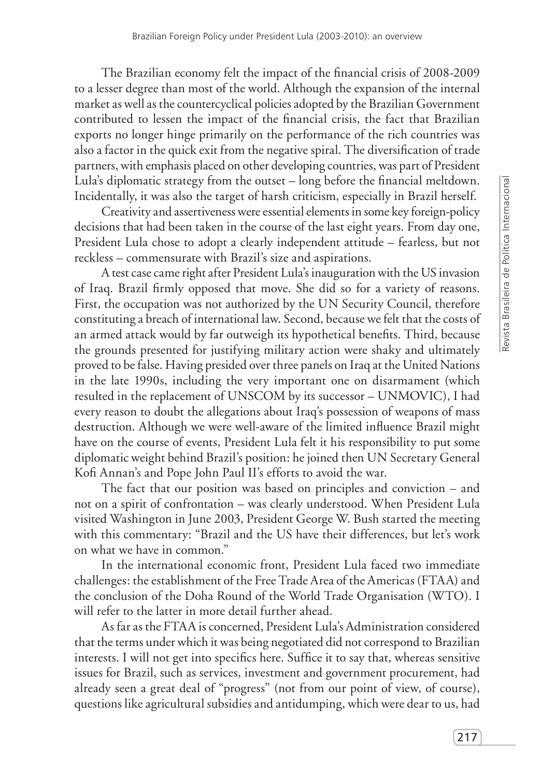The Brazilian economy felt the impact of the financial crisis of 2008-2009 to a lesser degree than most of the world. Although the expansion of the internal market as well as the countercyclical policies adopted by the Brazilian Government contributed to lessen the impact of the financial crisis, the fact that Brazilian exports no longer hinge primarily on the performance of the rich countries was also a factor in the quick exit from the negative spiral. The diversification of trade partners, with emphasis placed on other developing countries, was part of President Lula's diplomatic strategy from the outset – long before the financial meltdown. Incidentally, it was also the target of harsh criticism, especially in Brazil herself.

Creativity and assertiveness were essential elements in some key foreign-policy decisions that had been taken in the course of the last eight years. From day one, President Lula chose to adopt a clearly independent attitude – fearless, but not reckless – commensurate with Brazil's size and aspirations.

A test case came right after President Lula's inauguration with the US invasion of Iraq. Brazil firmly opposed that move. She did so for a variety of reasons. First, the occupation was not authorized by the UN Security Council, therefore constituting a breach of international law. Second, because we felt that the costs of an armed attack would by far outweigh its hypothetical benefits. Third, because the grounds presented for justifying military action were shaky and ultimately proved to be false. Having presided over three panels on Iraq at the United Nations in the late 1990s, including the very important one on disarmament (which resulted in the replacement of UNSCOM by its successor – UNMOVIC), I had every reason to doubt the allegations about Iraq's possession of weapons of mass destruction. Although we were well-aware of the limited influence Brazil might have on the course of events, President Lula felt it his responsibility to put some diplomatic weight behind Brazil's position: he joined then UN Secretary General Kofi Annan's and Pope John Paul II's efforts to avoid the war.

The fact that our position was based on principles and conviction – and not on a spirit of confrontation – was clearly understood. When President Lula visited Washington in June 2003, President George W. Bush started the meeting with this commentary: "Brazil and the US have their differences, but let's work on what we have in common."

In the international economic front, President Lula faced two immediate challenges: the establishment of the Free Trade Area of the Americas (FTAA) and the conclusion of the Doha Round of the World Trade Organisation (WTO). I will refer to the latter in more detail further ahead.

As far as the FTAA is concerned, President Lula's Administration considered that the terms under which it was being negotiated did not correspond to Brazilian interests. I will not get into specifics here. Suffice it to say that, whereas sensitive issues for Brazil, such as services, investment and government procurement, had already seen a great deal of "progress" (not from our point of view, of course), questions like agricultural subsidies and antidumping, which were dear to us, had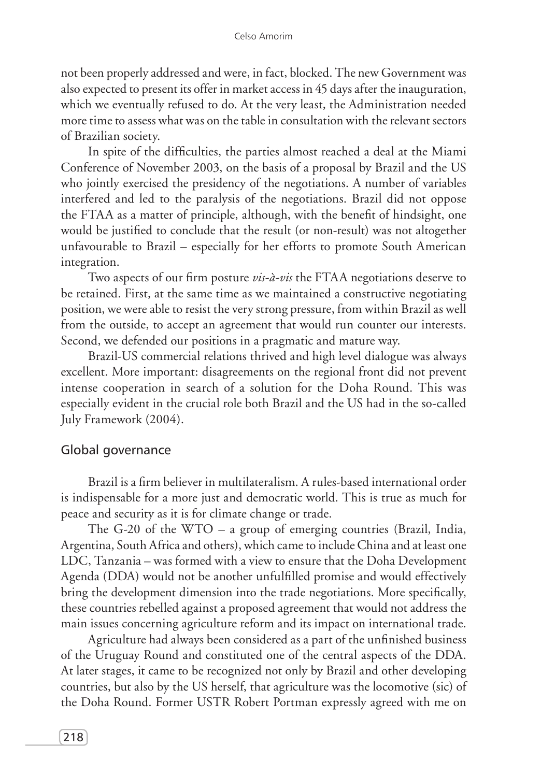not been properly addressed and were, in fact, blocked. The new Government was also expected to present its offer in market access in 45 days after the inauguration, which we eventually refused to do. At the very least, the Administration needed more time to assess what was on the table in consultation with the relevant sectors of Brazilian society.

In spite of the difficulties, the parties almost reached a deal at the Miami Conference of November 2003, on the basis of a proposal by Brazil and the US who jointly exercised the presidency of the negotiations. A number of variables interfered and led to the paralysis of the negotiations. Brazil did not oppose the FTAA as a matter of principle, although, with the benefit of hindsight, one would be justified to conclude that the result (or non-result) was not altogether unfavourable to Brazil – especially for her efforts to promote South American integration.

Two aspects of our firm posture *vis-à-vis* the FTAA negotiations deserve to be retained. First, at the same time as we maintained a constructive negotiating position, we were able to resist the very strong pressure, from within Brazil as well from the outside, to accept an agreement that would run counter our interests. Second, we defended our positions in a pragmatic and mature way.

Brazil-US commercial relations thrived and high level dialogue was always excellent. More important: disagreements on the regional front did not prevent intense cooperation in search of a solution for the Doha Round. This was especially evident in the crucial role both Brazil and the US had in the so-called July Framework (2004).

### Global governance

Brazil is a firm believer in multilateralism. A rules-based international order is indispensable for a more just and democratic world. This is true as much for peace and security as it is for climate change or trade.

The G-20 of the WTO – a group of emerging countries (Brazil, India, Argentina, South Africa and others), which came to include China and at least one LDC, Tanzania – was formed with a view to ensure that the Doha Development Agenda (DDA) would not be another unfulfilled promise and would effectively bring the development dimension into the trade negotiations. More specifically, these countries rebelled against a proposed agreement that would not address the main issues concerning agriculture reform and its impact on international trade.

Agriculture had always been considered as a part of the unfinished business of the Uruguay Round and constituted one of the central aspects of the DDA. At later stages, it came to be recognized not only by Brazil and other developing countries, but also by the US herself, that agriculture was the locomotive (sic) of the Doha Round. Former USTR Robert Portman expressly agreed with me on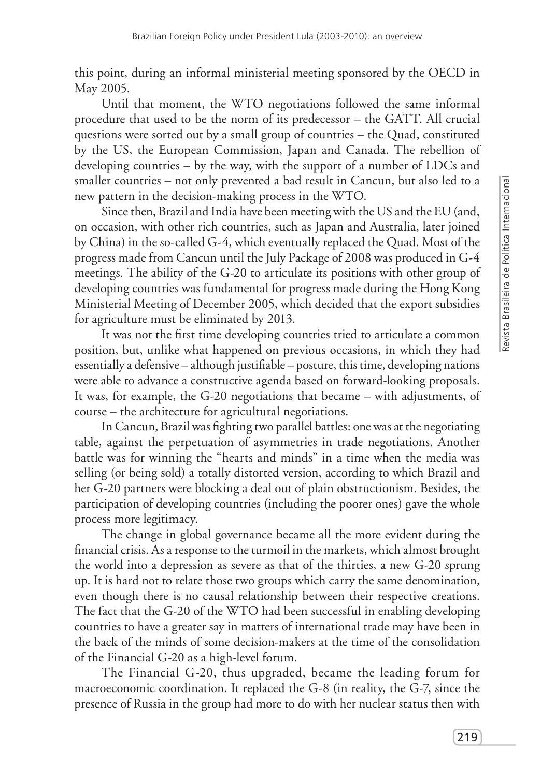this point, during an informal ministerial meeting sponsored by the OECD in May 2005.

Until that moment, the WTO negotiations followed the same informal procedure that used to be the norm of its predecessor – the GATT. All crucial questions were sorted out by a small group of countries – the Quad, constituted by the US, the European Commission, Japan and Canada. The rebellion of developing countries – by the way, with the support of a number of LDCs and smaller countries – not only prevented a bad result in Cancun, but also led to a new pattern in the decision-making process in the WTO.

Since then, Brazil and India have been meeting with the US and the EU (and, on occasion, with other rich countries, such as Japan and Australia, later joined by China) in the so-called G-4, which eventually replaced the Quad. Most of the progress made from Cancun until the July Package of 2008 was produced in G-4 meetings. The ability of the G-20 to articulate its positions with other group of developing countries was fundamental for progress made during the Hong Kong Ministerial Meeting of December 2005, which decided that the export subsidies for agriculture must be eliminated by 2013.

It was not the first time developing countries tried to articulate a common position, but, unlike what happened on previous occasions, in which they had essentially a defensive – although justifiable – posture, this time, developing nations were able to advance a constructive agenda based on forward-looking proposals. It was, for example, the G-20 negotiations that became – with adjustments, of course – the architecture for agricultural negotiations.

In Cancun, Brazil was fighting two parallel battles: one was at the negotiating table, against the perpetuation of asymmetries in trade negotiations. Another battle was for winning the "hearts and minds" in a time when the media was selling (or being sold) a totally distorted version, according to which Brazil and her G-20 partners were blocking a deal out of plain obstructionism. Besides, the participation of developing countries (including the poorer ones) gave the whole process more legitimacy.

The change in global governance became all the more evident during the financial crisis. As a response to the turmoil in the markets, which almost brought the world into a depression as severe as that of the thirties, a new G-20 sprung up. It is hard not to relate those two groups which carry the same denomination, even though there is no causal relationship between their respective creations. The fact that the G-20 of the WTO had been successful in enabling developing countries to have a greater say in matters of international trade may have been in the back of the minds of some decision-makers at the time of the consolidation of the Financial G-20 as a high-level forum.

The Financial G-20, thus upgraded, became the leading forum for macroeconomic coordination. It replaced the G-8 (in reality, the G-7, since the presence of Russia in the group had more to do with her nuclear status then with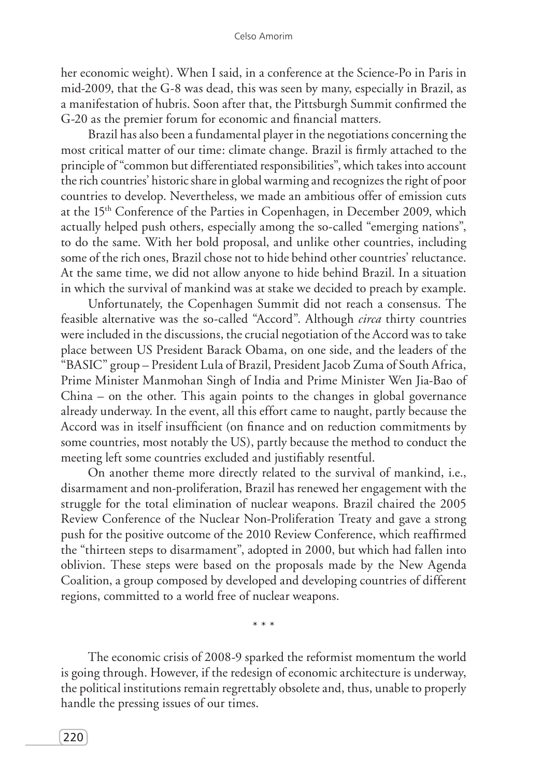her economic weight). When I said, in a conference at the Science-Po in Paris in mid-2009, that the G-8 was dead, this was seen by many, especially in Brazil, as a manifestation of hubris. Soon after that, the Pittsburgh Summit confirmed the G-20 as the premier forum for economic and financial matters.

Brazil has also been a fundamental player in the negotiations concerning the most critical matter of our time: climate change. Brazil is firmly attached to the principle of "common but differentiated responsibilities", which takes into account the rich countries' historic share in global warming and recognizes the right of poor countries to develop. Nevertheless, we made an ambitious offer of emission cuts at the 15<sup>th</sup> Conference of the Parties in Copenhagen, in December 2009, which actually helped push others, especially among the so-called "emerging nations", to do the same. With her bold proposal, and unlike other countries, including some of the rich ones, Brazil chose not to hide behind other countries' reluctance. At the same time, we did not allow anyone to hide behind Brazil. In a situation in which the survival of mankind was at stake we decided to preach by example.

Unfortunately, the Copenhagen Summit did not reach a consensus. The feasible alternative was the so-called "Accord". Although *circa* thirty countries were included in the discussions, the crucial negotiation of the Accord was to take place between US President Barack Obama, on one side, and the leaders of the "BASIC" group – President Lula of Brazil, President Jacob Zuma of South Africa, Prime Minister Manmohan Singh of India and Prime Minister Wen Jia-Bao of China – on the other. This again points to the changes in global governance already underway. In the event, all this effort came to naught, partly because the Accord was in itself insufficient (on finance and on reduction commitments by some countries, most notably the US), partly because the method to conduct the meeting left some countries excluded and justifiably resentful.

On another theme more directly related to the survival of mankind, i.e., disarmament and non-proliferation, Brazil has renewed her engagement with the struggle for the total elimination of nuclear weapons. Brazil chaired the 2005 Review Conference of the Nuclear Non-Proliferation Treaty and gave a strong push for the positive outcome of the 2010 Review Conference, which reaffirmed the "thirteen steps to disarmament", adopted in 2000, but which had fallen into oblivion. These steps were based on the proposals made by the New Agenda Coalition, a group composed by developed and developing countries of different regions, committed to a world free of nuclear weapons.

\* \* \*

The economic crisis of 2008-9 sparked the reformist momentum the world is going through. However, if the redesign of economic architecture is underway, the political institutions remain regrettably obsolete and, thus, unable to properly handle the pressing issues of our times.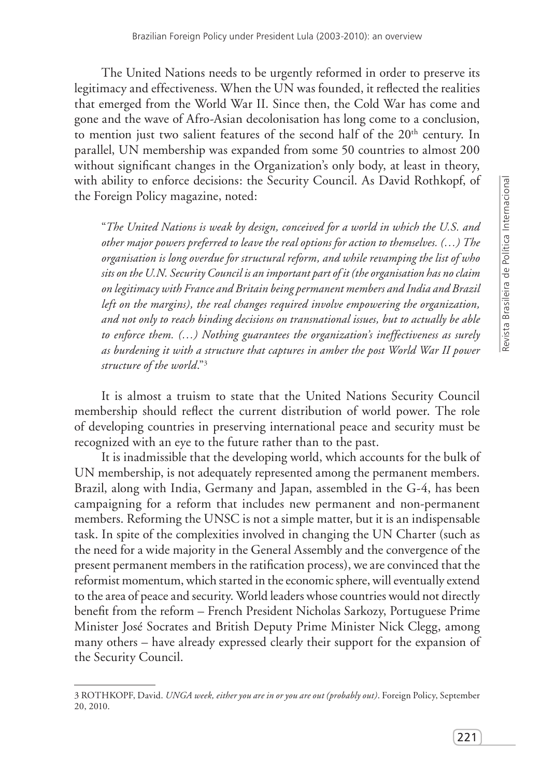The United Nations needs to be urgently reformed in order to preserve its legitimacy and effectiveness. When the UN was founded, it reflected the realities that emerged from the World War II. Since then, the Cold War has come and gone and the wave of Afro-Asian decolonisation has long come to a conclusion, to mention just two salient features of the second half of the 20<sup>th</sup> century. In parallel, UN membership was expanded from some 50 countries to almost 200 without significant changes in the Organization's only body, at least in theory, with ability to enforce decisions: the Security Council. As David Rothkopf, of the Foreign Policy magazine, noted:

"*The United Nations is weak by design, conceived for a world in which the U.S. and other major powers preferred to leave the real options for action to themselves. (…) The organisation is long overdue for structural reform, and while revamping the list of who sits on the U.N. Security Council is an important part of it (the organisation has no claim on legitimacy with France and Britain being permanent members and India and Brazil left on the margins), the real changes required involve empowering the organization, and not only to reach binding decisions on transnational issues, but to actually be able to enforce them. (…) Nothing guarantees the organization's ineffectiveness as surely as burdening it with a structure that captures in amber the post World War II power structure of the world*."3

It is almost a truism to state that the United Nations Security Council membership should reflect the current distribution of world power. The role of developing countries in preserving international peace and security must be recognized with an eye to the future rather than to the past.

It is inadmissible that the developing world, which accounts for the bulk of UN membership, is not adequately represented among the permanent members. Brazil, along with India, Germany and Japan, assembled in the G-4, has been campaigning for a reform that includes new permanent and non-permanent members. Reforming the UNSC is not a simple matter, but it is an indispensable task. In spite of the complexities involved in changing the UN Charter (such as the need for a wide majority in the General Assembly and the convergence of the present permanent members in the ratification process), we are convinced that the reformist momentum, which started in the economic sphere, will eventually extend to the area of peace and security. World leaders whose countries would not directly benefit from the reform – French President Nicholas Sarkozy, Portuguese Prime Minister José Socrates and British Deputy Prime Minister Nick Clegg, among many others – have already expressed clearly their support for the expansion of the Security Council.

<sup>3</sup> ROTHKOPF, David. *UNGA week, either you are in or you are out (probably out)*. Foreign Policy, September 20, 2010.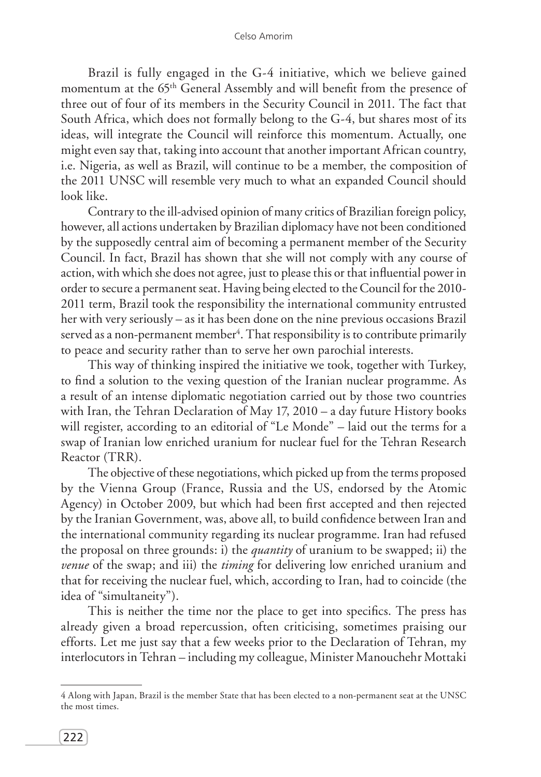Brazil is fully engaged in the G-4 initiative, which we believe gained momentum at the 65<sup>th</sup> General Assembly and will benefit from the presence of three out of four of its members in the Security Council in 2011. The fact that South Africa, which does not formally belong to the G-4, but shares most of its ideas, will integrate the Council will reinforce this momentum. Actually, one might even say that, taking into account that another important African country, i.e. Nigeria, as well as Brazil, will continue to be a member, the composition of the 2011 UNSC will resemble very much to what an expanded Council should look like.

Contrary to the ill-advised opinion of many critics of Brazilian foreign policy, however, all actions undertaken by Brazilian diplomacy have not been conditioned by the supposedly central aim of becoming a permanent member of the Security Council. In fact, Brazil has shown that she will not comply with any course of action, with which she does not agree, just to please this or that influential power in order to secure a permanent seat. Having being elected to the Council for the 2010- 2011 term, Brazil took the responsibility the international community entrusted her with very seriously – as it has been done on the nine previous occasions Brazil served as a non-permanent member<sup>4</sup>. That responsibility is to contribute primarily to peace and security rather than to serve her own parochial interests.

This way of thinking inspired the initiative we took, together with Turkey, to find a solution to the vexing question of the Iranian nuclear programme. As a result of an intense diplomatic negotiation carried out by those two countries with Iran, the Tehran Declaration of May 17, 2010 – a day future History books will register, according to an editorial of "Le Monde" – laid out the terms for a swap of Iranian low enriched uranium for nuclear fuel for the Tehran Research Reactor (TRR).

The objective of these negotiations, which picked up from the terms proposed by the Vienna Group (France, Russia and the US, endorsed by the Atomic Agency) in October 2009, but which had been first accepted and then rejected by the Iranian Government, was, above all, to build confidence between Iran and the international community regarding its nuclear programme. Iran had refused the proposal on three grounds: i) the *quantity* of uranium to be swapped; ii) the *venue* of the swap; and iii) the *timing* for delivering low enriched uranium and that for receiving the nuclear fuel, which, according to Iran, had to coincide (the idea of "simultaneity").

This is neither the time nor the place to get into specifics. The press has already given a broad repercussion, often criticising, sometimes praising our efforts. Let me just say that a few weeks prior to the Declaration of Tehran, my interlocutors in Tehran – including my colleague, Minister Manouchehr Mottaki

<sup>4</sup> Along with Japan, Brazil is the member State that has been elected to a non-permanent seat at the UNSC the most times.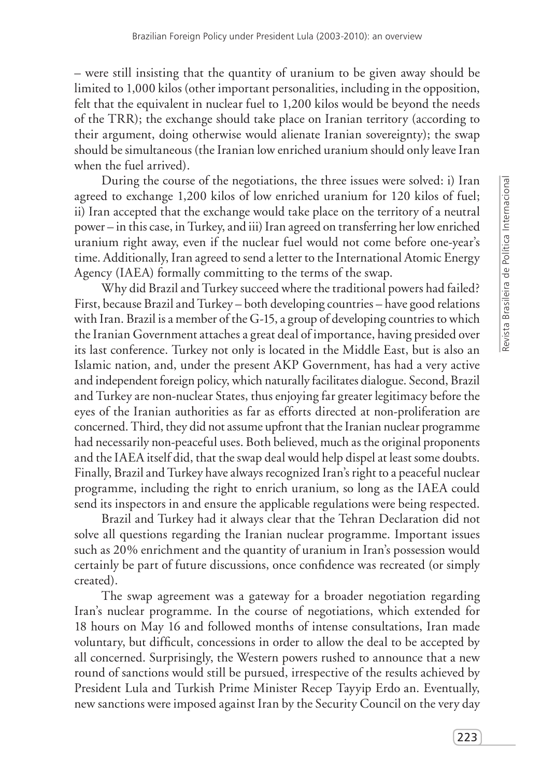– were still insisting that the quantity of uranium to be given away should be limited to 1,000 kilos (other important personalities, including in the opposition, felt that the equivalent in nuclear fuel to 1,200 kilos would be beyond the needs of the TRR); the exchange should take place on Iranian territory (according to their argument, doing otherwise would alienate Iranian sovereignty); the swap should be simultaneous (the Iranian low enriched uranium should only leave Iran when the fuel arrived).

During the course of the negotiations, the three issues were solved: i) Iran agreed to exchange 1,200 kilos of low enriched uranium for 120 kilos of fuel; ii) Iran accepted that the exchange would take place on the territory of a neutral power – in this case, in Turkey, and iii) Iran agreed on transferring her low enriched uranium right away, even if the nuclear fuel would not come before one-year's time. Additionally, Iran agreed to send a letter to the International Atomic Energy Agency (IAEA) formally committing to the terms of the swap.

Why did Brazil and Turkey succeed where the traditional powers had failed? First, because Brazil and Turkey – both developing countries – have good relations with Iran. Brazil is a member of the G-15, a group of developing countries to which the Iranian Government attaches a great deal of importance, having presided over its last conference. Turkey not only is located in the Middle East, but is also an Islamic nation, and, under the present AKP Government, has had a very active and independent foreign policy, which naturally facilitates dialogue. Second, Brazil and Turkey are non-nuclear States, thus enjoying far greater legitimacy before the eyes of the Iranian authorities as far as efforts directed at non-proliferation are concerned. Third, they did not assume upfront that the Iranian nuclear programme had necessarily non-peaceful uses. Both believed, much as the original proponents and the IAEA itself did, that the swap deal would help dispel at least some doubts. Finally, Brazil and Turkey have always recognized Iran's right to a peaceful nuclear programme, including the right to enrich uranium, so long as the IAEA could send its inspectors in and ensure the applicable regulations were being respected.

Brazil and Turkey had it always clear that the Tehran Declaration did not solve all questions regarding the Iranian nuclear programme. Important issues such as 20% enrichment and the quantity of uranium in Iran's possession would certainly be part of future discussions, once confidence was recreated (or simply created).

The swap agreement was a gateway for a broader negotiation regarding Iran's nuclear programme. In the course of negotiations, which extended for 18 hours on May 16 and followed months of intense consultations, Iran made voluntary, but difficult, concessions in order to allow the deal to be accepted by all concerned. Surprisingly, the Western powers rushed to announce that a new round of sanctions would still be pursued, irrespective of the results achieved by President Lula and Turkish Prime Minister Recep Tayyip Erdo an. Eventually, new sanctions were imposed against Iran by the Security Council on the very day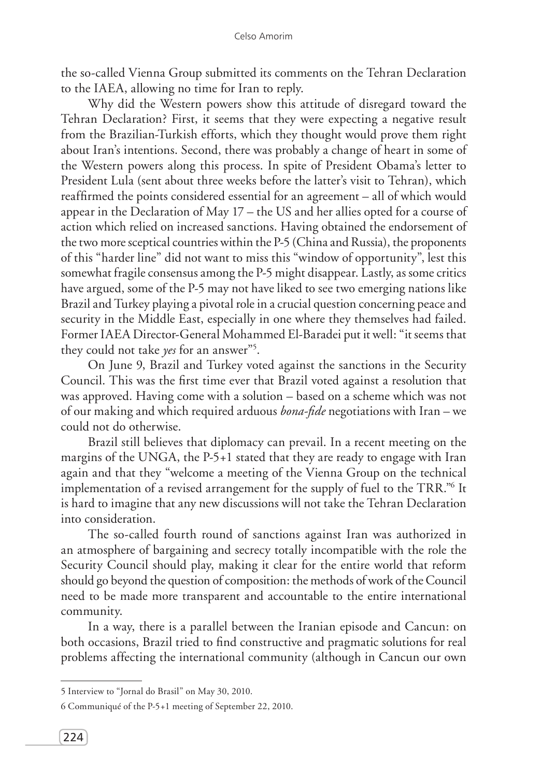the so-called Vienna Group submitted its comments on the Tehran Declaration to the IAEA, allowing no time for Iran to reply.

Why did the Western powers show this attitude of disregard toward the Tehran Declaration? First, it seems that they were expecting a negative result from the Brazilian-Turkish efforts, which they thought would prove them right about Iran's intentions. Second, there was probably a change of heart in some of the Western powers along this process. In spite of President Obama's letter to President Lula (sent about three weeks before the latter's visit to Tehran), which reaffirmed the points considered essential for an agreement – all of which would appear in the Declaration of May 17 – the US and her allies opted for a course of action which relied on increased sanctions. Having obtained the endorsement of the two more sceptical countries within the P-5 (China and Russia), the proponents of this "harder line" did not want to miss this "window of opportunity", lest this somewhat fragile consensus among the P-5 might disappear. Lastly, as some critics have argued, some of the P-5 may not have liked to see two emerging nations like Brazil and Turkey playing a pivotal role in a crucial question concerning peace and security in the Middle East, especially in one where they themselves had failed. Former IAEA Director-General Mohammed El-Baradei put it well: "it seems that they could not take *yes* for an answer"5 .

On June 9, Brazil and Turkey voted against the sanctions in the Security Council. This was the first time ever that Brazil voted against a resolution that was approved. Having come with a solution – based on a scheme which was not of our making and which required arduous *bona-fide* negotiations with Iran – we could not do otherwise.

Brazil still believes that diplomacy can prevail. In a recent meeting on the margins of the UNGA, the P-5+1 stated that they are ready to engage with Iran again and that they "welcome a meeting of the Vienna Group on the technical implementation of a revised arrangement for the supply of fuel to the TRR."<sup>6</sup> It is hard to imagine that any new discussions will not take the Tehran Declaration into consideration.

The so-called fourth round of sanctions against Iran was authorized in an atmosphere of bargaining and secrecy totally incompatible with the role the Security Council should play, making it clear for the entire world that reform should go beyond the question of composition: the methods of work of the Council need to be made more transparent and accountable to the entire international community.

In a way, there is a parallel between the Iranian episode and Cancun: on both occasions, Brazil tried to find constructive and pragmatic solutions for real problems affecting the international community (although in Cancun our own

<sup>5</sup> Interview to "Jornal do Brasil" on May 30, 2010.

<sup>6</sup> Communiqué of the P-5+1 meeting of September 22, 2010.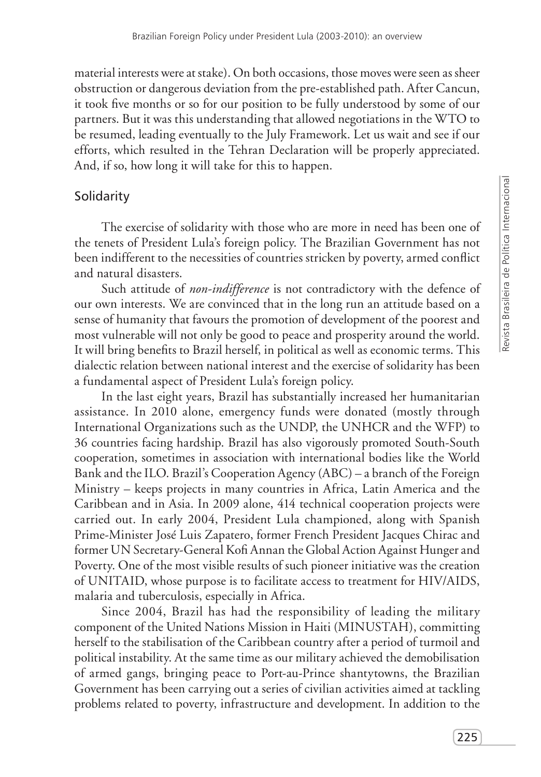material interests were at stake). On both occasions, those moves were seen as sheer obstruction or dangerous deviation from the pre-established path. After Cancun, it took five months or so for our position to be fully understood by some of our partners. But it was this understanding that allowed negotiations in the WTO to be resumed, leading eventually to the July Framework. Let us wait and see if our efforts, which resulted in the Tehran Declaration will be properly appreciated. And, if so, how long it will take for this to happen.

#### Solidarity

The exercise of solidarity with those who are more in need has been one of the tenets of President Lula's foreign policy. The Brazilian Government has not been indifferent to the necessities of countries stricken by poverty, armed conflict and natural disasters.

Such attitude of *non-indifference* is not contradictory with the defence of our own interests. We are convinced that in the long run an attitude based on a sense of humanity that favours the promotion of development of the poorest and most vulnerable will not only be good to peace and prosperity around the world. It will bring benefits to Brazil herself, in political as well as economic terms. This dialectic relation between national interest and the exercise of solidarity has been a fundamental aspect of President Lula's foreign policy.

In the last eight years, Brazil has substantially increased her humanitarian assistance. In 2010 alone, emergency funds were donated (mostly through International Organizations such as the UNDP, the UNHCR and the WFP) to 36 countries facing hardship. Brazil has also vigorously promoted South-South cooperation, sometimes in association with international bodies like the World Bank and the ILO. Brazil's Cooperation Agency (ABC) – a branch of the Foreign Ministry – keeps projects in many countries in Africa, Latin America and the Caribbean and in Asia. In 2009 alone, 414 technical cooperation projects were carried out. In early 2004, President Lula championed, along with Spanish Prime-Minister José Luis Zapatero, former French President Jacques Chirac and former UN Secretary-General Kofi Annan the Global Action Against Hunger and Poverty. One of the most visible results of such pioneer initiative was the creation of UNITAID, whose purpose is to facilitate access to treatment for HIV/AIDS, malaria and tuberculosis, especially in Africa.

Since 2004, Brazil has had the responsibility of leading the military component of the United Nations Mission in Haiti (MINUSTAH), committing herself to the stabilisation of the Caribbean country after a period of turmoil and political instability. At the same time as our military achieved the demobilisation of armed gangs, bringing peace to Port-au-Prince shantytowns, the Brazilian Government has been carrying out a series of civilian activities aimed at tackling problems related to poverty, infrastructure and development. In addition to the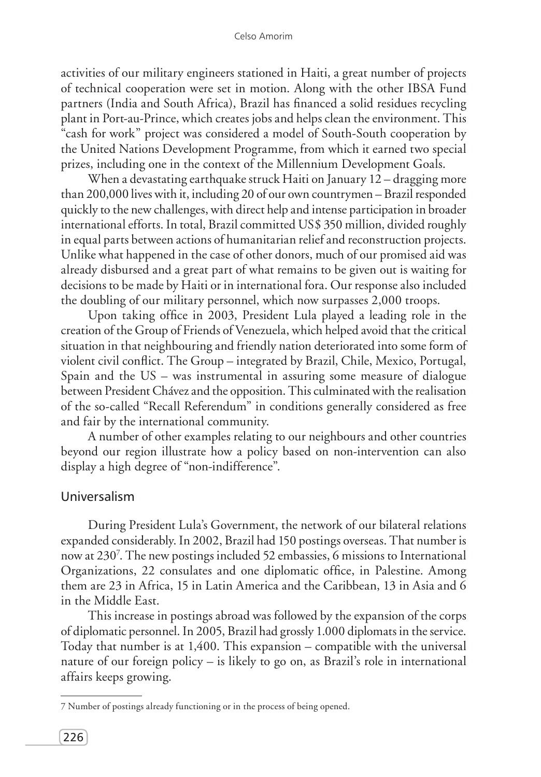activities of our military engineers stationed in Haiti, a great number of projects of technical cooperation were set in motion. Along with the other IBSA Fund partners (India and South Africa), Brazil has financed a solid residues recycling plant in Port-au-Prince, which creates jobs and helps clean the environment. This "cash for work" project was considered a model of South-South cooperation by the United Nations Development Programme, from which it earned two special prizes, including one in the context of the Millennium Development Goals.

When a devastating earthquake struck Haiti on January 12 – dragging more than 200,000 lives with it, including 20 of our own countrymen – Brazil responded quickly to the new challenges, with direct help and intense participation in broader international efforts. In total, Brazil committed US\$ 350 million, divided roughly in equal parts between actions of humanitarian relief and reconstruction projects. Unlike what happened in the case of other donors, much of our promised aid was already disbursed and a great part of what remains to be given out is waiting for decisions to be made by Haiti or in international fora. Our response also included the doubling of our military personnel, which now surpasses 2,000 troops.

Upon taking office in 2003, President Lula played a leading role in the creation of the Group of Friends of Venezuela, which helped avoid that the critical situation in that neighbouring and friendly nation deteriorated into some form of violent civil conflict. The Group – integrated by Brazil, Chile, Mexico, Portugal, Spain and the US – was instrumental in assuring some measure of dialogue between President Chávez and the opposition. This culminated with the realisation of the so-called "Recall Referendum" in conditions generally considered as free and fair by the international community.

A number of other examples relating to our neighbours and other countries beyond our region illustrate how a policy based on non-intervention can also display a high degree of "non-indifference".

#### Universalism

During President Lula's Government, the network of our bilateral relations expanded considerably. In 2002, Brazil had 150 postings overseas. That number is now at 2307 . The new postings included 52 embassies, 6 missions to International Organizations, 22 consulates and one diplomatic office, in Palestine. Among them are 23 in Africa, 15 in Latin America and the Caribbean, 13 in Asia and 6 in the Middle East.

This increase in postings abroad was followed by the expansion of the corps of diplomatic personnel. In 2005, Brazil had grossly 1.000 diplomats in the service. Today that number is at 1,400. This expansion – compatible with the universal nature of our foreign policy – is likely to go on, as Brazil's role in international affairs keeps growing.

<sup>7</sup> Number of postings already functioning or in the process of being opened.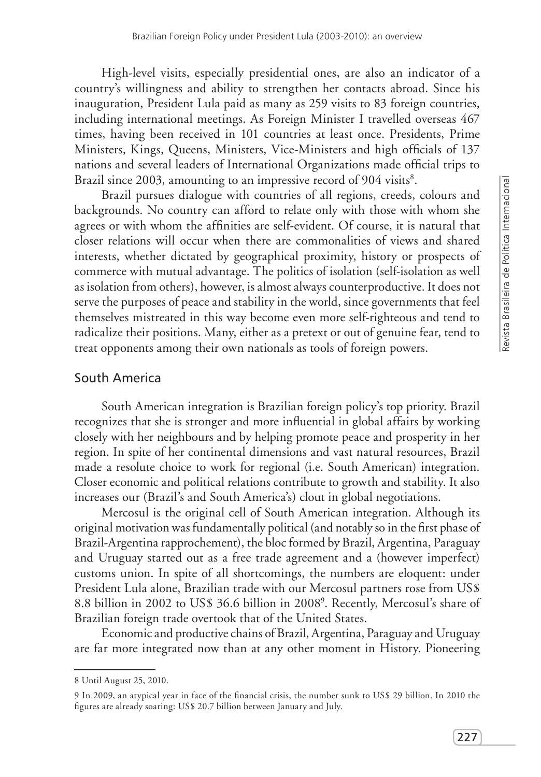High-level visits, especially presidential ones, are also an indicator of a country's willingness and ability to strengthen her contacts abroad. Since his inauguration, President Lula paid as many as 259 visits to 83 foreign countries, including international meetings. As Foreign Minister I travelled overseas 467 times, having been received in 101 countries at least once. Presidents, Prime Ministers, Kings, Queens, Ministers, Vice-Ministers and high officials of 137 nations and several leaders of International Organizations made official trips to Brazil since 2003, amounting to an impressive record of 904 visits<sup>8</sup>.

Brazil pursues dialogue with countries of all regions, creeds, colours and backgrounds. No country can afford to relate only with those with whom she agrees or with whom the affinities are self-evident. Of course, it is natural that closer relations will occur when there are commonalities of views and shared interests, whether dictated by geographical proximity, history or prospects of commerce with mutual advantage. The politics of isolation (self-isolation as well as isolation from others), however, is almost always counterproductive. It does not serve the purposes of peace and stability in the world, since governments that feel themselves mistreated in this way become even more self-righteous and tend to radicalize their positions. Many, either as a pretext or out of genuine fear, tend to treat opponents among their own nationals as tools of foreign powers.

### South America

South American integration is Brazilian foreign policy's top priority. Brazil recognizes that she is stronger and more influential in global affairs by working closely with her neighbours and by helping promote peace and prosperity in her region. In spite of her continental dimensions and vast natural resources, Brazil made a resolute choice to work for regional (i.e. South American) integration. Closer economic and political relations contribute to growth and stability. It also increases our (Brazil's and South America's) clout in global negotiations.

Mercosul is the original cell of South American integration. Although its original motivation was fundamentally political (and notably so in the first phase of Brazil-Argentina rapprochement), the bloc formed by Brazil, Argentina, Paraguay and Uruguay started out as a free trade agreement and a (however imperfect) customs union. In spite of all shortcomings, the numbers are eloquent: under President Lula alone, Brazilian trade with our Mercosul partners rose from US\$ 8.8 billion in 2002 to US\$ 36.6 billion in 20089 . Recently, Mercosul's share of Brazilian foreign trade overtook that of the United States.

Economic and productive chains of Brazil, Argentina, Paraguay and Uruguay are far more integrated now than at any other moment in History. Pioneering

<sup>8</sup> Until August 25, 2010.

<sup>9</sup> In 2009, an atypical year in face of the financial crisis, the number sunk to US\$ 29 billion. In 2010 the figures are already soaring: US\$ 20.7 billion between January and July.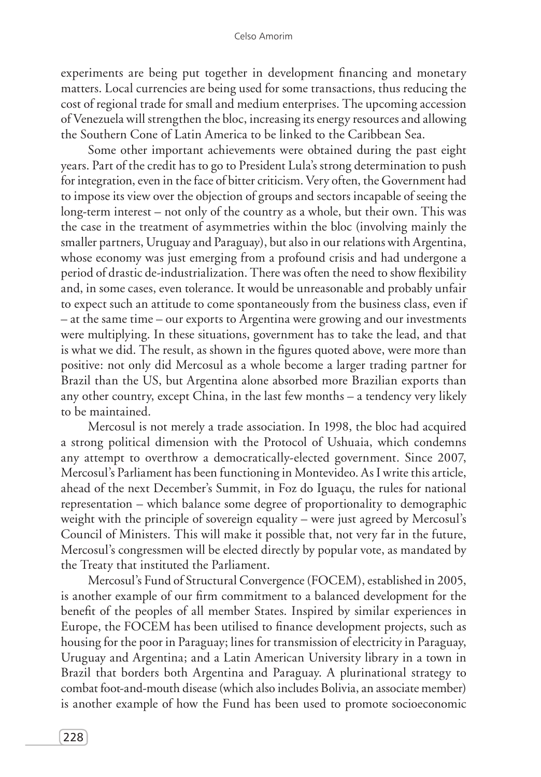experiments are being put together in development financing and monetary matters. Local currencies are being used for some transactions, thus reducing the cost of regional trade for small and medium enterprises. The upcoming accession of Venezuela will strengthen the bloc, increasing its energy resources and allowing the Southern Cone of Latin America to be linked to the Caribbean Sea.

Some other important achievements were obtained during the past eight years. Part of the credit has to go to President Lula's strong determination to push for integration, even in the face of bitter criticism. Very often, the Government had to impose its view over the objection of groups and sectors incapable of seeing the long-term interest – not only of the country as a whole, but their own. This was the case in the treatment of asymmetries within the bloc (involving mainly the smaller partners, Uruguay and Paraguay), but also in our relations with Argentina, whose economy was just emerging from a profound crisis and had undergone a period of drastic de-industrialization. There was often the need to show flexibility and, in some cases, even tolerance. It would be unreasonable and probably unfair to expect such an attitude to come spontaneously from the business class, even if – at the same time – our exports to Argentina were growing and our investments were multiplying. In these situations, government has to take the lead, and that is what we did. The result, as shown in the figures quoted above, were more than positive: not only did Mercosul as a whole become a larger trading partner for Brazil than the US, but Argentina alone absorbed more Brazilian exports than any other country, except China, in the last few months – a tendency very likely to be maintained.

Mercosul is not merely a trade association. In 1998, the bloc had acquired a strong political dimension with the Protocol of Ushuaia, which condemns any attempt to overthrow a democratically-elected government. Since 2007, Mercosul's Parliament has been functioning in Montevideo. As I write this article, ahead of the next December's Summit, in Foz do Iguaçu, the rules for national representation – which balance some degree of proportionality to demographic weight with the principle of sovereign equality – were just agreed by Mercosul's Council of Ministers. This will make it possible that, not very far in the future, Mercosul's congressmen will be elected directly by popular vote, as mandated by the Treaty that instituted the Parliament.

Mercosul's Fund of Structural Convergence (FOCEM), established in 2005, is another example of our firm commitment to a balanced development for the benefit of the peoples of all member States. Inspired by similar experiences in Europe, the FOCEM has been utilised to finance development projects, such as housing for the poor in Paraguay; lines for transmission of electricity in Paraguay, Uruguay and Argentina; and a Latin American University library in a town in Brazil that borders both Argentina and Paraguay. A plurinational strategy to combat foot-and-mouth disease (which also includes Bolivia, an associate member) is another example of how the Fund has been used to promote socioeconomic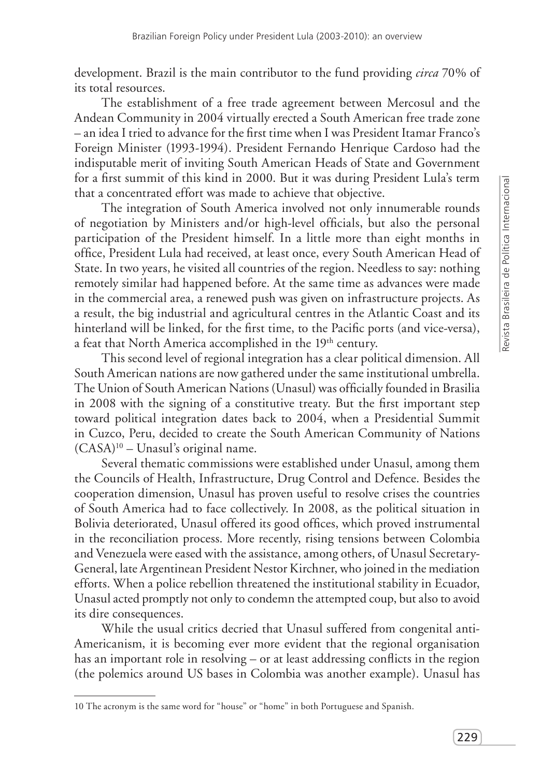development. Brazil is the main contributor to the fund providing *circa* 70% of its total resources.

The establishment of a free trade agreement between Mercosul and the Andean Community in 2004 virtually erected a South American free trade zone – an idea I tried to advance for the first time when I was President Itamar Franco's Foreign Minister (1993-1994). President Fernando Henrique Cardoso had the indisputable merit of inviting South American Heads of State and Government for a first summit of this kind in 2000. But it was during President Lula's term that a concentrated effort was made to achieve that objective.

The integration of South America involved not only innumerable rounds of negotiation by Ministers and/or high-level officials, but also the personal participation of the President himself. In a little more than eight months in office, President Lula had received, at least once, every South American Head of State. In two years, he visited all countries of the region. Needless to say: nothing remotely similar had happened before. At the same time as advances were made in the commercial area, a renewed push was given on infrastructure projects. As a result, the big industrial and agricultural centres in the Atlantic Coast and its hinterland will be linked, for the first time, to the Pacific ports (and vice-versa), a feat that North America accomplished in the 19<sup>th</sup> century.

This second level of regional integration has a clear political dimension. All South American nations are now gathered under the same institutional umbrella. The Union of South American Nations (Unasul) was officially founded in Brasilia in 2008 with the signing of a constitutive treaty. But the first important step toward political integration dates back to 2004, when a Presidential Summit in Cuzco, Peru, decided to create the South American Community of Nations  $(CASA)^{10}$  – Unasul's original name.

Several thematic commissions were established under Unasul, among them the Councils of Health, Infrastructure, Drug Control and Defence. Besides the cooperation dimension, Unasul has proven useful to resolve crises the countries of South America had to face collectively. In 2008, as the political situation in Bolivia deteriorated, Unasul offered its good offices, which proved instrumental in the reconciliation process. More recently, rising tensions between Colombia and Venezuela were eased with the assistance, among others, of Unasul Secretary-General, late Argentinean President Nestor Kirchner, who joined in the mediation efforts. When a police rebellion threatened the institutional stability in Ecuador, Unasul acted promptly not only to condemn the attempted coup, but also to avoid its dire consequences.

While the usual critics decried that Unasul suffered from congenital anti-Americanism, it is becoming ever more evident that the regional organisation has an important role in resolving – or at least addressing conflicts in the region (the polemics around US bases in Colombia was another example). Unasul has

<sup>10</sup> The acronym is the same word for "house" or "home" in both Portuguese and Spanish.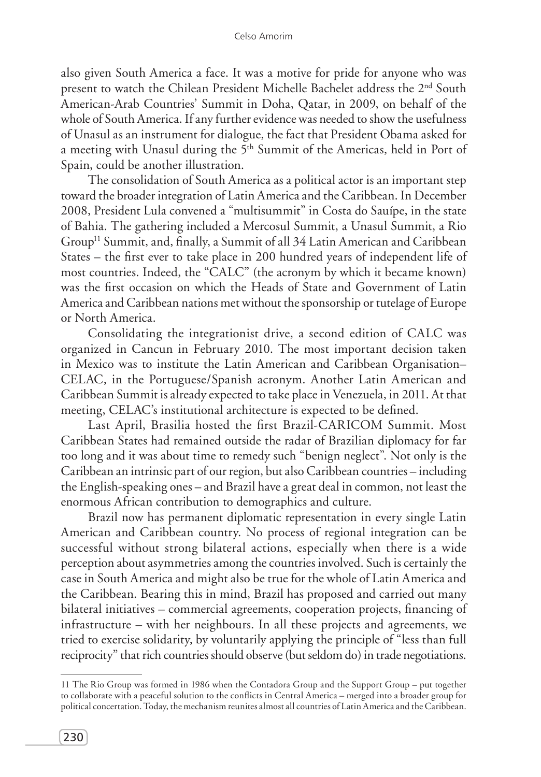also given South America a face. It was a motive for pride for anyone who was present to watch the Chilean President Michelle Bachelet address the 2<sup>nd</sup> South American-Arab Countries' Summit in Doha, Qatar, in 2009, on behalf of the whole of South America. If any further evidence was needed to show the usefulness of Unasul as an instrument for dialogue, the fact that President Obama asked for a meeting with Unasul during the  $5<sup>th</sup>$  Summit of the Americas, held in Port of Spain, could be another illustration.

The consolidation of South America as a political actor is an important step toward the broader integration of Latin America and the Caribbean. In December 2008, President Lula convened a "multisummit" in Costa do Sauípe, in the state of Bahia. The gathering included a Mercosul Summit, a Unasul Summit, a Rio Group11 Summit, and, finally, a Summit of all 34 Latin American and Caribbean States – the first ever to take place in 200 hundred years of independent life of most countries. Indeed, the "CALC" (the acronym by which it became known) was the first occasion on which the Heads of State and Government of Latin America and Caribbean nations met without the sponsorship or tutelage of Europe or North America.

Consolidating the integrationist drive, a second edition of CALC was organized in Cancun in February 2010. The most important decision taken in Mexico was to institute the Latin American and Caribbean Organisation– CELAC, in the Portuguese/Spanish acronym. Another Latin American and Caribbean Summit is already expected to take place in Venezuela, in 2011. At that meeting, CELAC's institutional architecture is expected to be defined.

Last April, Brasilia hosted the first Brazil-CARICOM Summit. Most Caribbean States had remained outside the radar of Brazilian diplomacy for far too long and it was about time to remedy such "benign neglect". Not only is the Caribbean an intrinsic part of our region, but also Caribbean countries – including the English-speaking ones – and Brazil have a great deal in common, not least the enormous African contribution to demographics and culture.

Brazil now has permanent diplomatic representation in every single Latin American and Caribbean country. No process of regional integration can be successful without strong bilateral actions, especially when there is a wide perception about asymmetries among the countries involved. Such is certainly the case in South America and might also be true for the whole of Latin America and the Caribbean. Bearing this in mind, Brazil has proposed and carried out many bilateral initiatives – commercial agreements, cooperation projects, financing of infrastructure – with her neighbours. In all these projects and agreements, we tried to exercise solidarity, by voluntarily applying the principle of "less than full reciprocity" that rich countries should observe (but seldom do) in trade negotiations.

<sup>11</sup> The Rio Group was formed in 1986 when the Contadora Group and the Support Group – put together to collaborate with a peaceful solution to the conflicts in Central America – merged into a broader group for political concertation. Today, the mechanism reunites almost all countries of Latin America and the Caribbean.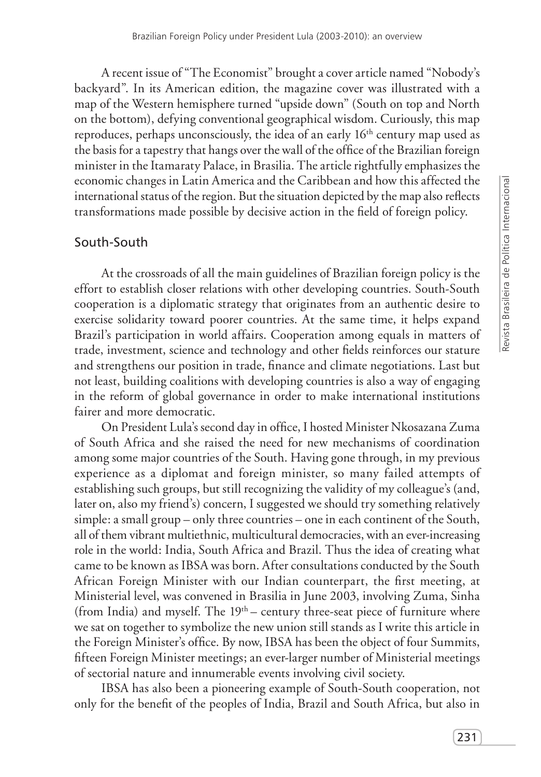A recent issue of "The Economist" brought a cover article named "Nobody's backyard". In its American edition, the magazine cover was illustrated with a map of the Western hemisphere turned "upside down" (South on top and North on the bottom), defying conventional geographical wisdom. Curiously, this map reproduces, perhaps unconsciously, the idea of an early  $16<sup>th</sup>$  century map used as the basis for a tapestry that hangs over the wall of the office of the Brazilian foreign minister in the Itamaraty Palace, in Brasilia. The article rightfully emphasizes the economic changes in Latin America and the Caribbean and how this affected the international status of the region. But the situation depicted by the map also reflects transformations made possible by decisive action in the field of foreign policy.

### South-South

At the crossroads of all the main guidelines of Brazilian foreign policy is the effort to establish closer relations with other developing countries. South-South cooperation is a diplomatic strategy that originates from an authentic desire to exercise solidarity toward poorer countries. At the same time, it helps expand Brazil's participation in world affairs. Cooperation among equals in matters of trade, investment, science and technology and other fields reinforces our stature and strengthens our position in trade, finance and climate negotiations. Last but not least, building coalitions with developing countries is also a way of engaging in the reform of global governance in order to make international institutions fairer and more democratic.

On President Lula's second day in office, I hosted Minister Nkosazana Zuma of South Africa and she raised the need for new mechanisms of coordination among some major countries of the South. Having gone through, in my previous experience as a diplomat and foreign minister, so many failed attempts of establishing such groups, but still recognizing the validity of my colleague's (and, later on, also my friend's) concern, I suggested we should try something relatively simple: a small group – only three countries – one in each continent of the South, all of them vibrant multiethnic, multicultural democracies, with an ever-increasing role in the world: India, South Africa and Brazil. Thus the idea of creating what came to be known as IBSA was born. After consultations conducted by the South African Foreign Minister with our Indian counterpart, the first meeting, at Ministerial level, was convened in Brasilia in June 2003, involving Zuma, Sinha (from India) and myself. The  $19<sup>th</sup>$  – century three-seat piece of furniture where we sat on together to symbolize the new union still stands as I write this article in the Foreign Minister's office. By now, IBSA has been the object of four Summits, fifteen Foreign Minister meetings; an ever-larger number of Ministerial meetings of sectorial nature and innumerable events involving civil society.

IBSA has also been a pioneering example of South-South cooperation, not only for the benefit of the peoples of India, Brazil and South Africa, but also in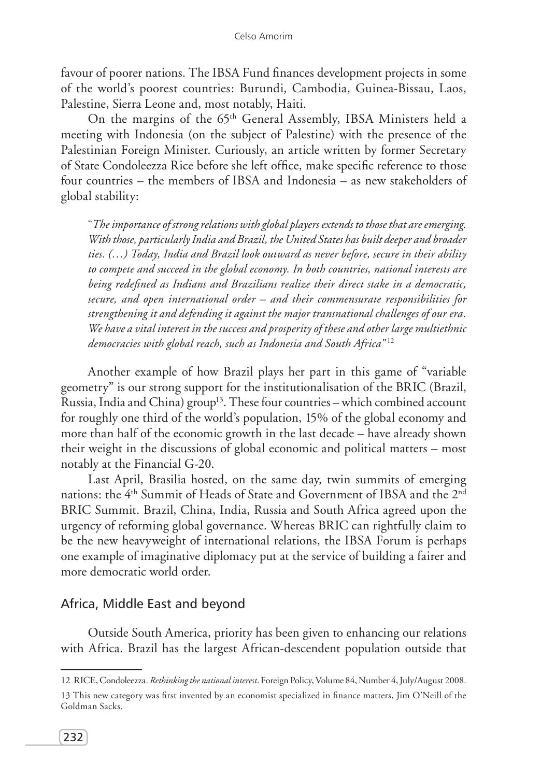favour of poorer nations. The IBSA Fund finances development projects in some of the world's poorest countries: Burundi, Cambodia, Guinea-Bissau, Laos, Palestine, Sierra Leone and, most notably, Haiti.

On the margins of the 65th General Assembly, IBSA Ministers held a meeting with Indonesia (on the subject of Palestine) with the presence of the Palestinian Foreign Minister. Curiously, an article written by former Secretary of State Condoleezza Rice before she left office, make specific reference to those four countries – the members of IBSA and Indonesia – as new stakeholders of global stability:

"*The importance of strong relations with global players extends to those that are emerging. With those, particularly India and Brazil, the United States has built deeper and broader ties. (…) Today, India and Brazil look outward as never before, secure in their ability to compete and succeed in the global economy. In both countries, national interests are being redefined as Indians and Brazilians realize their direct stake in a democratic, secure, and open international order – and their commensurate responsibilities for strengthening it and defending it against the major transnational challenges of our era. We have a vital interest in the success and prosperity of these and other large multiethnic democracies with global reach, such as Indonesia and South Africa"* <sup>12</sup>

Another example of how Brazil plays her part in this game of "variable geometry" is our strong support for the institutionalisation of the BRIC (Brazil, Russia, India and China) group<sup>13</sup>. These four countries – which combined account for roughly one third of the world's population, 15% of the global economy and more than half of the economic growth in the last decade – have already shown their weight in the discussions of global economic and political matters – most notably at the Financial G-20.

Last April, Brasilia hosted, on the same day, twin summits of emerging nations: the 4th Summit of Heads of State and Government of IBSA and the 2nd BRIC Summit. Brazil, China, India, Russia and South Africa agreed upon the urgency of reforming global governance. Whereas BRIC can rightfully claim to be the new heavyweight of international relations, the IBSA Forum is perhaps one example of imaginative diplomacy put at the service of building a fairer and more democratic world order.

### Africa, Middle East and beyond

Outside South America, priority has been given to enhancing our relations with Africa. Brazil has the largest African-descendent population outside that

<sup>12</sup> RICE, Condoleezza. *Rethinking the national interest*. Foreign Policy, Volume 84, Number 4, July/August 2008.

<sup>13</sup> This new category was first invented by an economist specialized in finance matters, Jim O'Neill of the Goldman Sacks.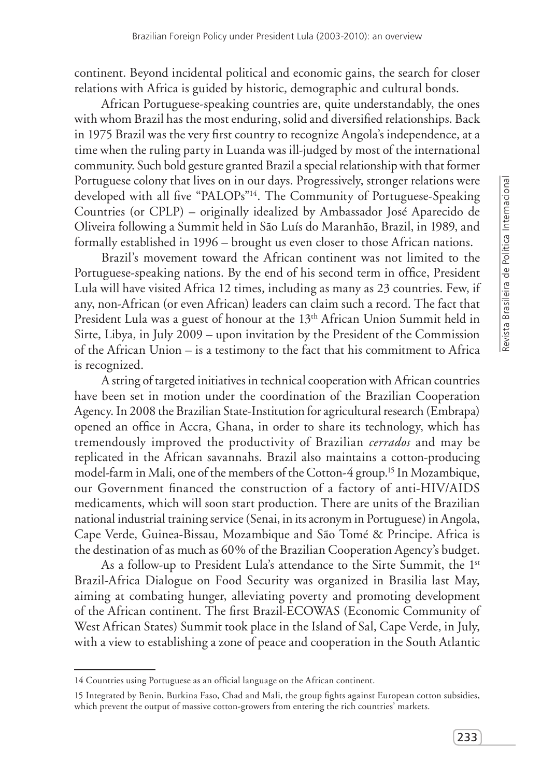continent. Beyond incidental political and economic gains, the search for closer relations with Africa is guided by historic, demographic and cultural bonds.

African Portuguese-speaking countries are, quite understandably, the ones with whom Brazil has the most enduring, solid and diversified relationships. Back in 1975 Brazil was the very first country to recognize Angola's independence, at a time when the ruling party in Luanda was ill-judged by most of the international community. Such bold gesture granted Brazil a special relationship with that former Portuguese colony that lives on in our days. Progressively, stronger relations were developed with all five "PALOPs"14. The Community of Portuguese-Speaking Countries (or CPLP) – originally idealized by Ambassador José Aparecido de Oliveira following a Summit held in São Luís do Maranhão, Brazil, in 1989, and formally established in 1996 – brought us even closer to those African nations.

Brazil's movement toward the African continent was not limited to the Portuguese-speaking nations. By the end of his second term in office, President Lula will have visited Africa 12 times, including as many as 23 countries. Few, if any, non-African (or even African) leaders can claim such a record. The fact that President Lula was a guest of honour at the 13<sup>th</sup> African Union Summit held in Sirte, Libya, in July 2009 – upon invitation by the President of the Commission of the African Union – is a testimony to the fact that his commitment to Africa is recognized.

A string of targeted initiatives in technical cooperation with African countries have been set in motion under the coordination of the Brazilian Cooperation Agency. In 2008 the Brazilian State-Institution for agricultural research (Embrapa) opened an office in Accra, Ghana, in order to share its technology, which has tremendously improved the productivity of Brazilian *cerrados* and may be replicated in the African savannahs. Brazil also maintains a cotton-producing model-farm in Mali, one of the members of the Cotton-4 group.15 In Mozambique, our Government financed the construction of a factory of anti-HIV/AIDS medicaments, which will soon start production. There are units of the Brazilian national industrial training service (Senai, in its acronym in Portuguese) in Angola, Cape Verde, Guinea-Bissau, Mozambique and São Tomé & Principe. Africa is the destination of as much as 60% of the Brazilian Cooperation Agency's budget.

As a follow-up to President Lula's attendance to the Sirte Summit, the 1<sup>st</sup> Brazil-Africa Dialogue on Food Security was organized in Brasilia last May, aiming at combating hunger, alleviating poverty and promoting development of the African continent. The first Brazil-ECOWAS (Economic Community of West African States) Summit took place in the Island of Sal, Cape Verde, in July, with a view to establishing a zone of peace and cooperation in the South Atlantic

<sup>14</sup> Countries using Portuguese as an official language on the African continent.

<sup>15</sup> Integrated by Benin, Burkina Faso, Chad and Mali, the group fights against European cotton subsidies, which prevent the output of massive cotton-growers from entering the rich countries' markets.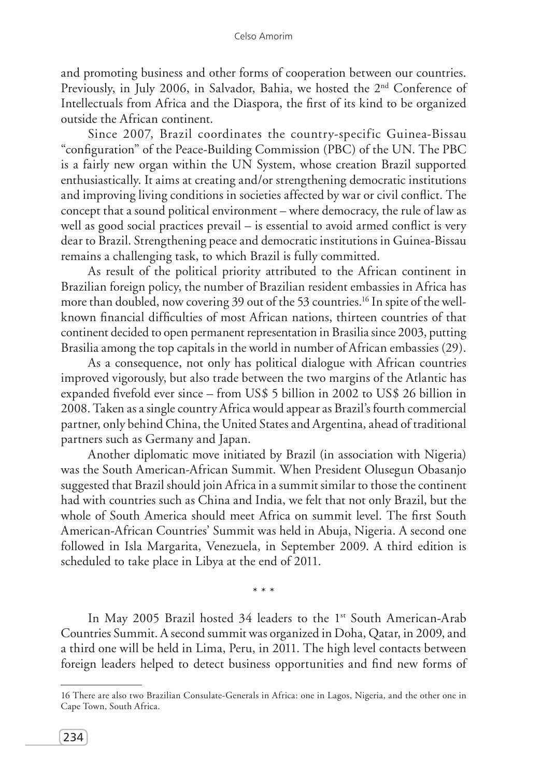and promoting business and other forms of cooperation between our countries. Previously, in July 2006, in Salvador, Bahia, we hosted the 2<sup>nd</sup> Conference of Intellectuals from Africa and the Diaspora, the first of its kind to be organized outside the African continent.

Since 2007, Brazil coordinates the country-specific Guinea-Bissau "configuration" of the Peace-Building Commission (PBC) of the UN. The PBC is a fairly new organ within the UN System, whose creation Brazil supported enthusiastically. It aims at creating and/or strengthening democratic institutions and improving living conditions in societies affected by war or civil conflict. The concept that a sound political environment – where democracy, the rule of law as well as good social practices prevail – is essential to avoid armed conflict is very dear to Brazil. Strengthening peace and democratic institutions in Guinea-Bissau remains a challenging task, to which Brazil is fully committed.

As result of the political priority attributed to the African continent in Brazilian foreign policy, the number of Brazilian resident embassies in Africa has more than doubled, now covering 39 out of the 53 countries.<sup>16</sup> In spite of the wellknown financial difficulties of most African nations, thirteen countries of that continent decided to open permanent representation in Brasilia since 2003, putting Brasilia among the top capitals in the world in number of African embassies (29).

As a consequence, not only has political dialogue with African countries improved vigorously, but also trade between the two margins of the Atlantic has expanded fivefold ever since – from US\$ 5 billion in 2002 to US\$ 26 billion in 2008. Taken as a single country Africa would appear as Brazil's fourth commercial partner, only behind China, the United States and Argentina, ahead of traditional partners such as Germany and Japan.

Another diplomatic move initiated by Brazil (in association with Nigeria) was the South American-African Summit. When President Olusegun Obasanjo suggested that Brazil should join Africa in a summit similar to those the continent had with countries such as China and India, we felt that not only Brazil, but the whole of South America should meet Africa on summit level. The first South American-African Countries' Summit was held in Abuja, Nigeria. A second one followed in Isla Margarita, Venezuela, in September 2009. A third edition is scheduled to take place in Libya at the end of 2011.

\* \* \*

In May 2005 Brazil hosted 34 leaders to the  $1<sup>st</sup>$  South American-Arab Countries Summit. A second summit was organized in Doha, Qatar, in 2009, and a third one will be held in Lima, Peru, in 2011. The high level contacts between foreign leaders helped to detect business opportunities and find new forms of

<sup>16</sup> There are also two Brazilian Consulate-Generals in Africa: one in Lagos, Nigeria, and the other one in Cape Town, South Africa.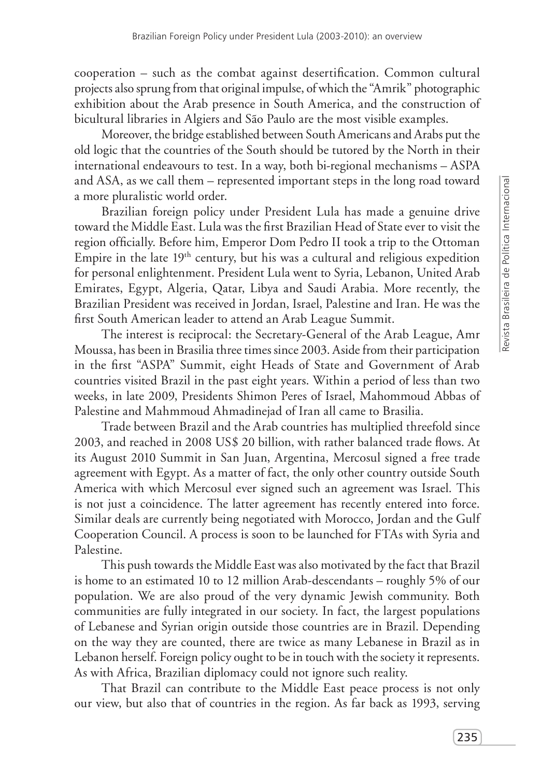cooperation – such as the combat against desertification. Common cultural projects also sprung from that original impulse, of which the "Amrik" photographic exhibition about the Arab presence in South America, and the construction of bicultural libraries in Algiers and São Paulo are the most visible examples.

Moreover, the bridge established between South Americans and Arabs put the old logic that the countries of the South should be tutored by the North in their international endeavours to test. In a way, both bi-regional mechanisms – ASPA and ASA, as we call them – represented important steps in the long road toward a more pluralistic world order.

Brazilian foreign policy under President Lula has made a genuine drive toward the Middle East. Lula was the first Brazilian Head of State ever to visit the region officially. Before him, Emperor Dom Pedro II took a trip to the Ottoman Empire in the late  $19<sup>th</sup>$  century, but his was a cultural and religious expedition for personal enlightenment. President Lula went to Syria, Lebanon, United Arab Emirates, Egypt, Algeria, Qatar, Libya and Saudi Arabia. More recently, the Brazilian President was received in Jordan, Israel, Palestine and Iran. He was the first South American leader to attend an Arab League Summit.

The interest is reciprocal: the Secretary-General of the Arab League, Amr Moussa, has been in Brasilia three times since 2003. Aside from their participation in the first "ASPA" Summit, eight Heads of State and Government of Arab countries visited Brazil in the past eight years. Within a period of less than two weeks, in late 2009, Presidents Shimon Peres of Israel, Mahommoud Abbas of Palestine and Mahmmoud Ahmadinejad of Iran all came to Brasilia.

Trade between Brazil and the Arab countries has multiplied threefold since 2003, and reached in 2008 US\$ 20 billion, with rather balanced trade flows. At its August 2010 Summit in San Juan, Argentina, Mercosul signed a free trade agreement with Egypt. As a matter of fact, the only other country outside South America with which Mercosul ever signed such an agreement was Israel. This is not just a coincidence. The latter agreement has recently entered into force. Similar deals are currently being negotiated with Morocco, Jordan and the Gulf Cooperation Council. A process is soon to be launched for FTAs with Syria and Palestine.

This push towards the Middle East was also motivated by the fact that Brazil is home to an estimated 10 to 12 million Arab-descendants – roughly 5% of our population. We are also proud of the very dynamic Jewish community. Both communities are fully integrated in our society. In fact, the largest populations of Lebanese and Syrian origin outside those countries are in Brazil. Depending on the way they are counted, there are twice as many Lebanese in Brazil as in Lebanon herself. Foreign policy ought to be in touch with the society it represents. As with Africa, Brazilian diplomacy could not ignore such reality.

That Brazil can contribute to the Middle East peace process is not only our view, but also that of countries in the region. As far back as 1993, serving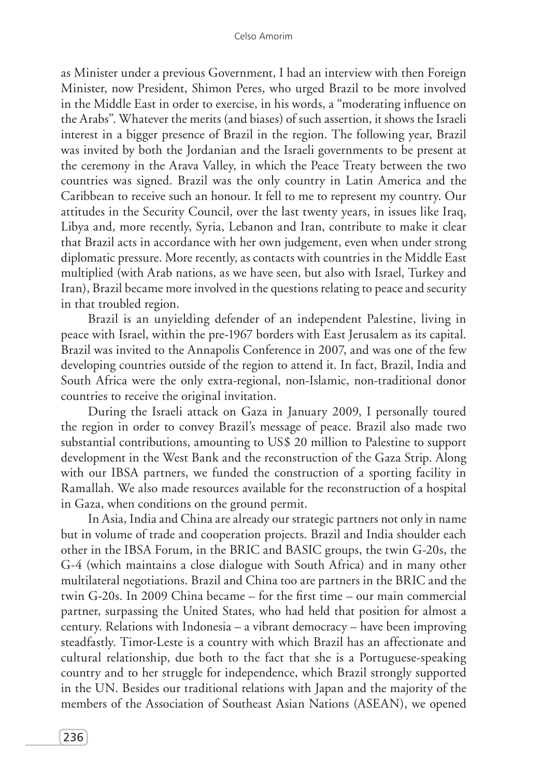as Minister under a previous Government, I had an interview with then Foreign Minister, now President, Shimon Peres, who urged Brazil to be more involved in the Middle East in order to exercise, in his words, a "moderating influence on the Arabs". Whatever the merits (and biases) of such assertion, it shows the Israeli interest in a bigger presence of Brazil in the region. The following year, Brazil was invited by both the Jordanian and the Israeli governments to be present at the ceremony in the Arava Valley, in which the Peace Treaty between the two countries was signed. Brazil was the only country in Latin America and the Caribbean to receive such an honour. It fell to me to represent my country. Our attitudes in the Security Council, over the last twenty years, in issues like Iraq, Libya and, more recently, Syria, Lebanon and Iran, contribute to make it clear that Brazil acts in accordance with her own judgement, even when under strong diplomatic pressure. More recently, as contacts with countries in the Middle East multiplied (with Arab nations, as we have seen, but also with Israel, Turkey and Iran), Brazil became more involved in the questions relating to peace and security in that troubled region.

Brazil is an unyielding defender of an independent Palestine, living in peace with Israel, within the pre-1967 borders with East Jerusalem as its capital. Brazil was invited to the Annapolis Conference in 2007, and was one of the few developing countries outside of the region to attend it. In fact, Brazil, India and South Africa were the only extra-regional, non-Islamic, non-traditional donor countries to receive the original invitation.

During the Israeli attack on Gaza in January 2009, I personally toured the region in order to convey Brazil's message of peace. Brazil also made two substantial contributions, amounting to US\$ 20 million to Palestine to support development in the West Bank and the reconstruction of the Gaza Strip. Along with our IBSA partners, we funded the construction of a sporting facility in Ramallah. We also made resources available for the reconstruction of a hospital in Gaza, when conditions on the ground permit.

In Asia, India and China are already our strategic partners not only in name but in volume of trade and cooperation projects. Brazil and India shoulder each other in the IBSA Forum, in the BRIC and BASIC groups, the twin G-20s, the G-4 (which maintains a close dialogue with South Africa) and in many other multilateral negotiations. Brazil and China too are partners in the BRIC and the twin G-20s. In 2009 China became – for the first time – our main commercial partner, surpassing the United States, who had held that position for almost a century. Relations with Indonesia – a vibrant democracy – have been improving steadfastly. Timor-Leste is a country with which Brazil has an affectionate and cultural relationship, due both to the fact that she is a Portuguese-speaking country and to her struggle for independence, which Brazil strongly supported in the UN. Besides our traditional relations with Japan and the majority of the members of the Association of Southeast Asian Nations (ASEAN), we opened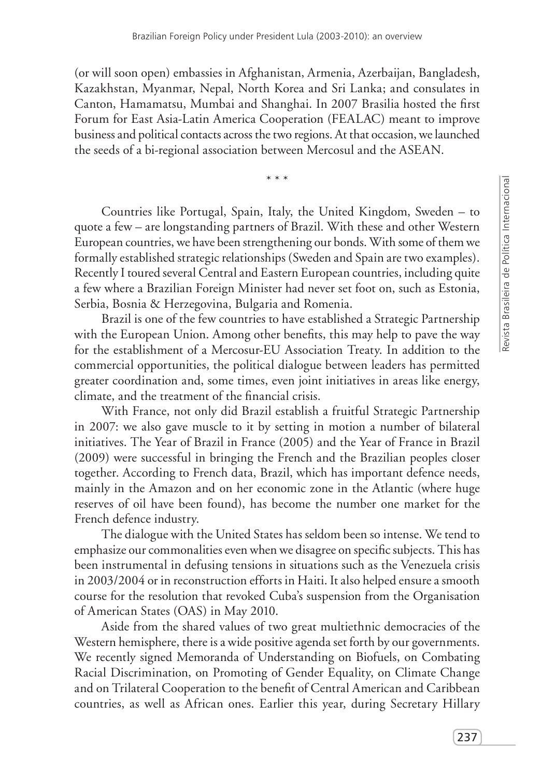(or will soon open) embassies in Afghanistan, Armenia, Azerbaijan, Bangladesh, Kazakhstan, Myanmar, Nepal, North Korea and Sri Lanka; and consulates in Canton, Hamamatsu, Mumbai and Shanghai. In 2007 Brasilia hosted the first Forum for East Asia-Latin America Cooperation (FEALAC) meant to improve business and political contacts across the two regions. At that occasion, we launched the seeds of a bi-regional association between Mercosul and the ASEAN.

\* \* \*

Countries like Portugal, Spain, Italy, the United Kingdom, Sweden – to quote a few – are longstanding partners of Brazil. With these and other Western European countries, we have been strengthening our bonds. With some of them we formally established strategic relationships (Sweden and Spain are two examples). Recently I toured several Central and Eastern European countries, including quite a few where a Brazilian Foreign Minister had never set foot on, such as Estonia, Serbia, Bosnia & Herzegovina, Bulgaria and Romenia.

Brazil is one of the few countries to have established a Strategic Partnership with the European Union. Among other benefits, this may help to pave the way for the establishment of a Mercosur-EU Association Treaty. In addition to the commercial opportunities, the political dialogue between leaders has permitted greater coordination and, some times, even joint initiatives in areas like energy, climate, and the treatment of the financial crisis.

With France, not only did Brazil establish a fruitful Strategic Partnership in 2007: we also gave muscle to it by setting in motion a number of bilateral initiatives. The Year of Brazil in France (2005) and the Year of France in Brazil (2009) were successful in bringing the French and the Brazilian peoples closer together. According to French data, Brazil, which has important defence needs, mainly in the Amazon and on her economic zone in the Atlantic (where huge reserves of oil have been found), has become the number one market for the French defence industry.

The dialogue with the United States has seldom been so intense. We tend to emphasize our commonalities even when we disagree on specific subjects. This has been instrumental in defusing tensions in situations such as the Venezuela crisis in 2003/2004 or in reconstruction efforts in Haiti. It also helped ensure a smooth course for the resolution that revoked Cuba's suspension from the Organisation of American States (OAS) in May 2010.

Aside from the shared values of two great multiethnic democracies of the Western hemisphere, there is a wide positive agenda set forth by our governments. We recently signed Memoranda of Understanding on Biofuels, on Combating Racial Discrimination, on Promoting of Gender Equality, on Climate Change and on Trilateral Cooperation to the benefit of Central American and Caribbean countries, as well as African ones. Earlier this year, during Secretary Hillary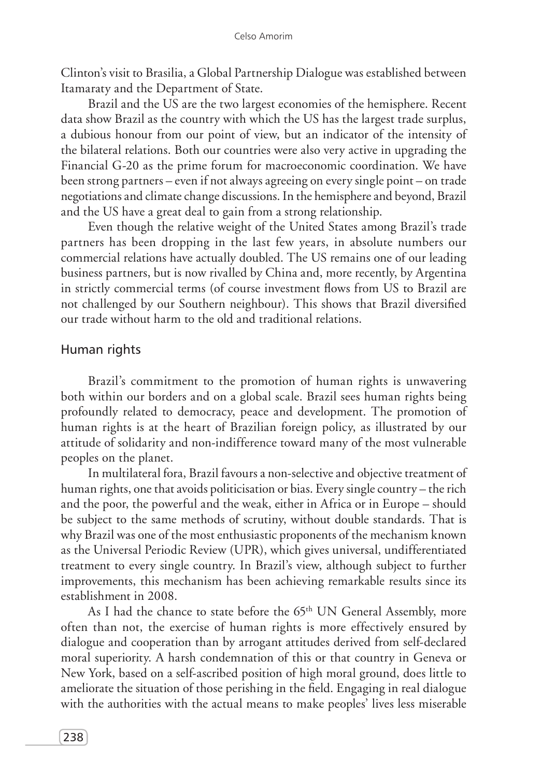Clinton's visit to Brasilia, a Global Partnership Dialogue was established between Itamaraty and the Department of State.

Brazil and the US are the two largest economies of the hemisphere. Recent data show Brazil as the country with which the US has the largest trade surplus, a dubious honour from our point of view, but an indicator of the intensity of the bilateral relations. Both our countries were also very active in upgrading the Financial G-20 as the prime forum for macroeconomic coordination. We have been strong partners – even if not always agreeing on every single point – on trade negotiations and climate change discussions. In the hemisphere and beyond, Brazil and the US have a great deal to gain from a strong relationship.

Even though the relative weight of the United States among Brazil's trade partners has been dropping in the last few years, in absolute numbers our commercial relations have actually doubled. The US remains one of our leading business partners, but is now rivalled by China and, more recently, by Argentina in strictly commercial terms (of course investment flows from US to Brazil are not challenged by our Southern neighbour). This shows that Brazil diversified our trade without harm to the old and traditional relations.

#### Human rights

Brazil's commitment to the promotion of human rights is unwavering both within our borders and on a global scale. Brazil sees human rights being profoundly related to democracy, peace and development. The promotion of human rights is at the heart of Brazilian foreign policy, as illustrated by our attitude of solidarity and non-indifference toward many of the most vulnerable peoples on the planet.

In multilateral fora, Brazil favours a non-selective and objective treatment of human rights, one that avoids politicisation or bias. Every single country – the rich and the poor, the powerful and the weak, either in Africa or in Europe – should be subject to the same methods of scrutiny, without double standards. That is why Brazil was one of the most enthusiastic proponents of the mechanism known as the Universal Periodic Review (UPR), which gives universal, undifferentiated treatment to every single country. In Brazil's view, although subject to further improvements, this mechanism has been achieving remarkable results since its establishment in 2008.

As I had the chance to state before the 65<sup>th</sup> UN General Assembly, more often than not, the exercise of human rights is more effectively ensured by dialogue and cooperation than by arrogant attitudes derived from self-declared moral superiority. A harsh condemnation of this or that country in Geneva or New York, based on a self-ascribed position of high moral ground, does little to ameliorate the situation of those perishing in the field. Engaging in real dialogue with the authorities with the actual means to make peoples' lives less miserable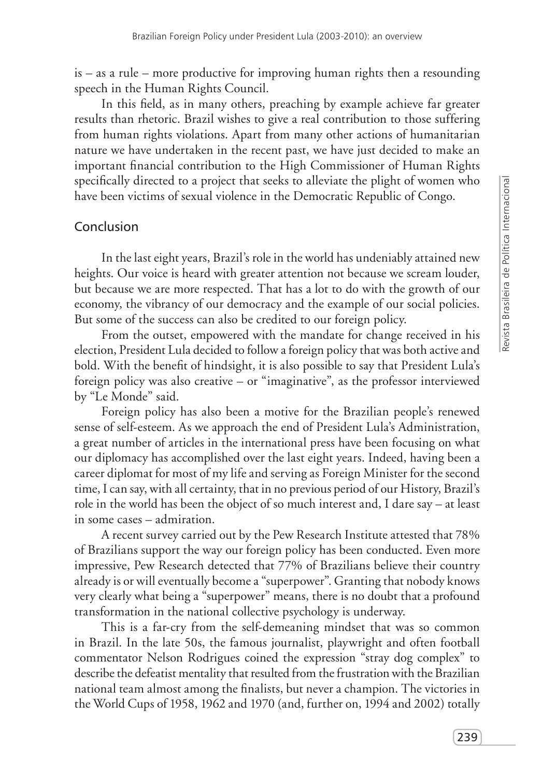is – as a rule – more productive for improving human rights then a resounding speech in the Human Rights Council.

In this field, as in many others, preaching by example achieve far greater results than rhetoric. Brazil wishes to give a real contribution to those suffering from human rights violations. Apart from many other actions of humanitarian nature we have undertaken in the recent past, we have just decided to make an important financial contribution to the High Commissioner of Human Rights specifically directed to a project that seeks to alleviate the plight of women who have been victims of sexual violence in the Democratic Republic of Congo.

## Conclusion

In the last eight years, Brazil's role in the world has undeniably attained new heights. Our voice is heard with greater attention not because we scream louder, but because we are more respected. That has a lot to do with the growth of our economy, the vibrancy of our democracy and the example of our social policies. But some of the success can also be credited to our foreign policy.

From the outset, empowered with the mandate for change received in his election, President Lula decided to follow a foreign policy that was both active and bold. With the benefit of hindsight, it is also possible to say that President Lula's foreign policy was also creative – or "imaginative", as the professor interviewed by "Le Monde" said.

Foreign policy has also been a motive for the Brazilian people's renewed sense of self-esteem. As we approach the end of President Lula's Administration, a great number of articles in the international press have been focusing on what our diplomacy has accomplished over the last eight years. Indeed, having been a career diplomat for most of my life and serving as Foreign Minister for the second time, I can say, with all certainty, that in no previous period of our History, Brazil's role in the world has been the object of so much interest and, I dare say – at least in some cases – admiration.

A recent survey carried out by the Pew Research Institute attested that 78% of Brazilians support the way our foreign policy has been conducted. Even more impressive, Pew Research detected that 77% of Brazilians believe their country already is or will eventually become a "superpower". Granting that nobody knows very clearly what being a "superpower" means, there is no doubt that a profound transformation in the national collective psychology is underway.

This is a far-cry from the self-demeaning mindset that was so common in Brazil. In the late 50s, the famous journalist, playwright and often football commentator Nelson Rodrigues coined the expression "stray dog complex" to describe the defeatist mentality that resulted from the frustration with the Brazilian national team almost among the finalists, but never a champion. The victories in the World Cups of 1958, 1962 and 1970 (and, further on, 1994 and 2002) totally